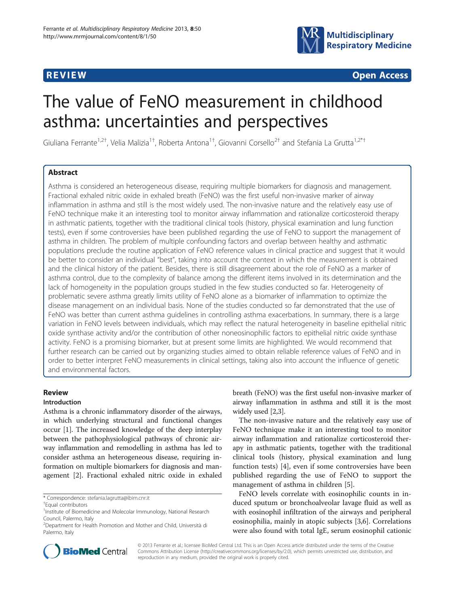

**REVIEW REVIEW CONSTRUCTION** 

# The value of FeNO measurement in childhood asthma: uncertainties and perspectives

Giuliana Ferrante<sup>1,2†</sup>, Velia Malizia<sup>1†</sup>, Roberta Antona<sup>1†</sup>, Giovanni Corsello<sup>2†</sup> and Stefania La Grutta<sup>1,2\*†</sup>

# Abstract

Asthma is considered an heterogeneous disease, requiring multiple biomarkers for diagnosis and management. Fractional exhaled nitric oxide in exhaled breath (FeNO) was the first useful non-invasive marker of airway inflammation in asthma and still is the most widely used. The non-invasive nature and the relatively easy use of FeNO technique make it an interesting tool to monitor airway inflammation and rationalize corticosteroid therapy in asthmatic patients, together with the traditional clinical tools (history, physical examination and lung function tests), even if some controversies have been published regarding the use of FeNO to support the management of asthma in children. The problem of multiple confounding factors and overlap between healthy and asthmatic populations preclude the routine application of FeNO reference values in clinical practice and suggest that it would be better to consider an individual "best", taking into account the context in which the measurement is obtained and the clinical history of the patient. Besides, there is still disagreement about the role of FeNO as a marker of asthma control, due to the complexity of balance among the different items involved in its determination and the lack of homogeneity in the population groups studied in the few studies conducted so far. Heterogeneity of problematic severe asthma greatly limits utility of FeNO alone as a biomarker of inflammation to optimize the disease management on an individual basis. None of the studies conducted so far demonstrated that the use of FeNO was better than current asthma guidelines in controlling asthma exacerbations. In summary, there is a large variation in FeNO levels between individuals, which may reflect the natural heterogeneity in baseline epithelial nitric oxide synthase activity and/or the contribution of other noneosinophilic factors to epithelial nitric oxide synthase activity. FeNO is a promising biomarker, but at present some limits are highlighted. We would recommend that further research can be carried out by organizing studies aimed to obtain reliable reference values of FeNO and in order to better interpret FeNO measurements in clinical settings, taking also into account the influence of genetic and environmental factors.

# Review

## Introduction

Asthma is a chronic inflammatory disorder of the airways, in which underlying structural and functional changes occur [[1\]](#page-6-0). The increased knowledge of the deep interplay between the pathophysiological pathways of chronic airway inflammation and remodelling in asthma has led to consider asthma an heterogeneous disease, requiring information on multiple biomarkers for diagnosis and management [[2\]](#page-6-0). Fractional exhaled nitric oxide in exhaled breath (FeNO) was the first useful non-invasive marker of airway inflammation in asthma and still it is the most widely used [[2,3\]](#page-6-0).

The non-invasive nature and the relatively easy use of FeNO technique make it an interesting tool to monitor airway inflammation and rationalize corticosteroid therapy in asthmatic patients, together with the traditional clinical tools (history, physical examination and lung function tests) [\[4](#page-6-0)], even if some controversies have been published regarding the use of FeNO to support the management of asthma in children [\[5](#page-6-0)].

FeNO levels correlate with eosinophilic counts in induced sputum or bronchoalveolar lavage fluid as well as with eosinophil infiltration of the airways and peripheral eosinophilia, mainly in atopic subjects [[3,6\]](#page-6-0). Correlations were also found with total IgE, serum eosinophil cationic



© 2013 Ferrante et al.; licensee BioMed Central Ltd. This is an Open Access article distributed under the terms of the Creative Commons Attribution License [\(http://creativecommons.org/licenses/by/2.0\)](http://creativecommons.org/licenses/by/2.0), which permits unrestricted use, distribution, and reproduction in any medium, provided the original work is properly cited.

<sup>\*</sup> Correspondence: [stefania.lagrutta@ibim.cnr.it](mailto:stefania.lagrutta@ibim.cnr.it) †

<sup>&</sup>lt;sup>+</sup>Equal contributors

<sup>&</sup>lt;sup>1</sup> Institute of Biomedicine and Molecolar Immunology, National Research Council, Palermo, Italy

<sup>2</sup> Department for Health Promotion and Mother and Child, Università di Palermo, Italy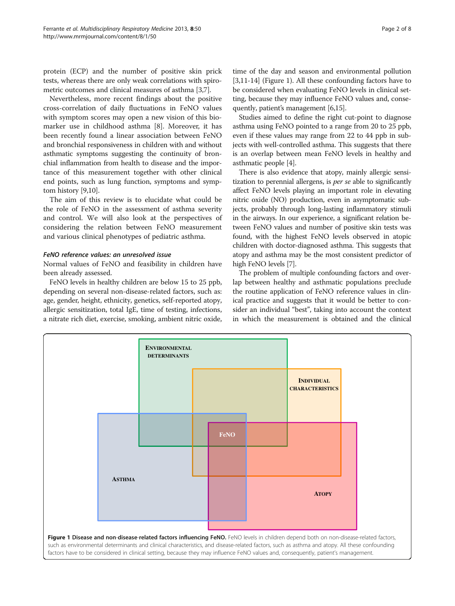protein (ECP) and the number of positive skin prick tests, whereas there are only weak correlations with spirometric outcomes and clinical measures of asthma [[3,7](#page-6-0)].

Nevertheless, more recent findings about the positive cross-correlation of daily fluctuations in FeNO values with symptom scores may open a new vision of this biomarker use in childhood asthma [\[8\]](#page-6-0). Moreover, it has been recently found a linear association between FeNO and bronchial responsiveness in children with and without asthmatic symptoms suggesting the continuity of bronchial inflammation from health to disease and the importance of this measurement together with other clinical end points, such as lung function, symptoms and symptom history [[9](#page-6-0),[10](#page-6-0)].

The aim of this review is to elucidate what could be the role of FeNO in the assessment of asthma severity and control. We will also look at the perspectives of considering the relation between FeNO measurement and various clinical phenotypes of pediatric asthma.

# FeNO reference values: an unresolved issue

Normal values of FeNO and feasibility in children have been already assessed.

FeNO levels in healthy children are below 15 to 25 ppb, depending on several non-disease-related factors, such as: age, gender, height, ethnicity, genetics, self-reported atopy, allergic sensitization, total IgE, time of testing, infections, a nitrate rich diet, exercise, smoking, ambient nitric oxide,

time of the day and season and environmental pollution [[3,11](#page-6-0)-[14](#page-6-0)] (Figure 1). All these confounding factors have to be considered when evaluating FeNO levels in clinical setting, because they may influence FeNO values and, consequently, patient's management [\[6,15\]](#page-6-0).

Studies aimed to define the right cut-point to diagnose asthma using FeNO pointed to a range from 20 to 25 ppb, even if these values may range from 22 to 44 ppb in subjects with well-controlled asthma. This suggests that there is an overlap between mean FeNO levels in healthy and asthmatic people [\[4\]](#page-6-0).

There is also evidence that atopy, mainly allergic sensitization to perennial allergens, is per se able to significantly affect FeNO levels playing an important role in elevating nitric oxide (NO) production, even in asymptomatic subjects, probably through long-lasting inflammatory stimuli in the airways. In our experience, a significant relation between FeNO values and number of positive skin tests was found, with the highest FeNO levels observed in atopic children with doctor-diagnosed asthma. This suggests that atopy and asthma may be the most consistent predictor of high FeNO levels [\[7](#page-6-0)].

The problem of multiple confounding factors and overlap between healthy and asthmatic populations preclude the routine application of FeNO reference values in clinical practice and suggests that it would be better to consider an individual "best", taking into account the context in which the measurement is obtained and the clinical

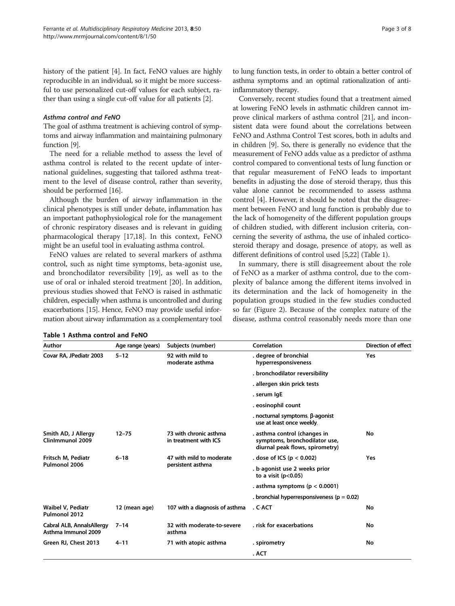history of the patient [\[4](#page-6-0)]. In fact, FeNO values are highly reproducible in an individual, so it might be more successful to use personalized cut-off values for each subject, rather than using a single cut-off value for all patients [[2\]](#page-6-0).

#### Asthma control and FeNO

The goal of asthma treatment is achieving control of symptoms and airway inflammation and maintaining pulmonary function [\[9](#page-6-0)].

The need for a reliable method to assess the level of asthma control is related to the recent update of international guidelines, suggesting that tailored asthma treatment to the level of disease control, rather than severity, should be performed [[16](#page-6-0)].

Although the burden of airway inflammation in the clinical phenotypes is still under debate, inflammation has an important pathophysiological role for the management of chronic respiratory diseases and is relevant in guiding pharmacological therapy [\[17,18](#page-6-0)]. In this context, FeNO might be an useful tool in evaluating asthma control.

FeNO values are related to several markers of asthma control, such as night time symptoms, beta-agonist use, and bronchodilator reversibility [\[19](#page-6-0)], as well as to the use of oral or inhaled steroid treatment [[20\]](#page-6-0). In addition, previous studies showed that FeNO is raised in asthmatic children, especially when asthma is uncontrolled and during exacerbations [[15](#page-6-0)]. Hence, FeNO may provide useful information about airway inflammation as a complementary tool to lung function tests, in order to obtain a better control of asthma symptoms and an optimal rationalization of antiinflammatory therapy.

Conversely, recent studies found that a treatment aimed at lowering FeNO levels in asthmatic children cannot improve clinical markers of asthma control [\[21\]](#page-6-0), and inconsistent data were found about the correlations between FeNO and Asthma Control Test scores, both in adults and in children [[9\]](#page-6-0). So, there is generally no evidence that the measurement of FeNO adds value as a predictor of asthma control compared to conventional tests of lung function or that regular measurement of FeNO leads to important benefits in adjusting the dose of steroid therapy, thus this value alone cannot be recommended to assess asthma control [\[4](#page-6-0)]. However, it should be noted that the disagreement between FeNO and lung function is probably due to the lack of homogeneity of the different population groups of children studied, with different inclusion criteria, concerning the severity of asthma, the use of inhaled corticosteroid therapy and dosage, presence of atopy, as well as different definitions of control used [[5,22](#page-6-0)] (Table 1).

In summary, there is still disagreement about the role of FeNO as a marker of asthma control, due to the complexity of balance among the different items involved in its determination and the lack of homogeneity in the population groups studied in the few studies conducted so far (Figure [2](#page-3-0)). Because of the complex nature of the disease, asthma control reasonably needs more than one

| Author                                           | Age range (years) | Subjects (number)                               | Correlation                                                                                      | <b>Direction of effect</b> |
|--------------------------------------------------|-------------------|-------------------------------------------------|--------------------------------------------------------------------------------------------------|----------------------------|
| Covar RA, JPediatr 2003                          | $5 - 12$          | 92 with mild to<br>moderate asthma              | . degree of bronchial<br>hyperresponsiveness                                                     | Yes                        |
|                                                  |                   |                                                 | . bronchodilator reversibility                                                                   |                            |
|                                                  |                   |                                                 | . allergen skin prick tests                                                                      |                            |
|                                                  |                   |                                                 | . serum IgE                                                                                      |                            |
|                                                  |                   |                                                 | . eosinophil count                                                                               |                            |
|                                                  |                   |                                                 | . nocturnal symptoms, β-agonist<br>use at least once weekly.                                     |                            |
| Smith AD, J Allergy<br>ClinImmunol 2009          | $12 - 75$         | 73 with chronic asthma<br>in treatment with ICS | . asthma control (changes in<br>symptoms, bronchodilator use,<br>diurnal peak flows, spirometry) | No                         |
| Fritsch M. Pediatr<br>Pulmonol 2006              | $6 - 18$          | 47 with mild to moderate<br>persistent asthma   | . dose of ICS ( $p < 0.002$ )                                                                    | Yes                        |
|                                                  |                   |                                                 | . b-agonist use 2 weeks prior<br>to a visit $(p<0.05)$                                           |                            |
|                                                  |                   |                                                 | . asthma symptoms ( $p < 0.0001$ )                                                               |                            |
|                                                  |                   |                                                 | . bronchial hyperresponsiveness ( $p = 0.02$ )                                                   |                            |
| Waibel V. Pediatr<br>Pulmonol 2012               | 12 (mean age)     | 107 with a diagnosis of asthma                  | . C-ACT                                                                                          | No                         |
| Cabral ALB, AnnalsAllergy<br>Asthma Immunol 2009 | $7 - 14$          | 32 with moderate-to-severe<br>asthma            | . risk for exacerbations                                                                         | No                         |
| Green RJ, Chest 2013                             | $4 - 11$          | 71 with atopic asthma                           | . spirometry                                                                                     | No                         |
|                                                  |                   |                                                 | . ACT                                                                                            |                            |

#### Table 1 Asthma control and FeNO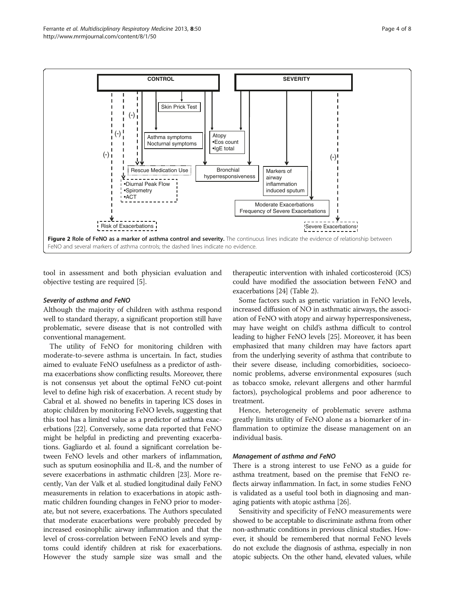<span id="page-3-0"></span>

tool in assessment and both physician evaluation and objective testing are required [[5\]](#page-6-0).

#### Severity of asthma and FeNO

Although the majority of children with asthma respond well to standard therapy, a significant proportion still have problematic, severe disease that is not controlled with conventional management.

The utility of FeNO for monitoring children with moderate-to-severe asthma is uncertain. In fact, studies aimed to evaluate FeNO usefulness as a predictor of asthma exacerbations show conflicting results. Moreover, there is not consensus yet about the optimal FeNO cut-point level to define high risk of exacerbation. A recent study by Cabral et al. showed no benefits in tapering ICS doses in atopic children by monitoring FeNO levels, suggesting that this tool has a limited value as a predictor of asthma exacerbations [\[22](#page-6-0)]. Conversely, some data reported that FeNO might be helpful in predicting and preventing exacerbations. Gagliardo et al. found a significant correlation between FeNO levels and other markers of inflammation, such as sputum eosinophilia and IL-8, and the number of severe exacerbations in asthmatic children [\[23\]](#page-6-0). More recently, Van der Valk et al. studied longitudinal daily FeNO measurements in relation to exacerbations in atopic asthmatic children founding changes in FeNO prior to moderate, but not severe, exacerbations. The Authors speculated that moderate exacerbations were probably preceded by increased eosinophilic airway inflammation and that the level of cross-correlation between FeNO levels and symptoms could identify children at risk for exacerbations. However the study sample size was small and the

therapeutic intervention with inhaled corticosteroid (ICS) could have modified the association between FeNO and exacerbations [\[24](#page-6-0)] (Table [2\)](#page-4-0).

Some factors such as genetic variation in FeNO levels, increased diffusion of NO in asthmatic airways, the association of FeNO with atopy and airway hyperresponsiveness, may have weight on child's asthma difficult to control leading to higher FeNO levels [\[25\]](#page-6-0). Moreover, it has been emphasized that many children may have factors apart from the underlying severity of asthma that contribute to their severe disease, including comorbidities, socioeconomic problems, adverse environmental exposures (such as tobacco smoke, relevant allergens and other harmful factors), psychological problems and poor adherence to treatment.

Hence, heterogeneity of problematic severe asthma greatly limits utility of FeNO alone as a biomarker of inflammation to optimize the disease management on an individual basis.

#### Management of asthma and FeNO

There is a strong interest to use FeNO as a guide for asthma treatment, based on the premise that FeNO reflects airway inflammation. In fact, in some studies FeNO is validated as a useful tool both in diagnosing and managing patients with atopic asthma [[26](#page-6-0)].

Sensitivity and specificity of FeNO measurements were showed to be acceptable to discriminate asthma from other non-asthmatic conditions in previous clinical studies. However, it should be remembered that normal FeNO levels do not exclude the diagnosis of asthma, especially in non atopic subjects. On the other hand, elevated values, while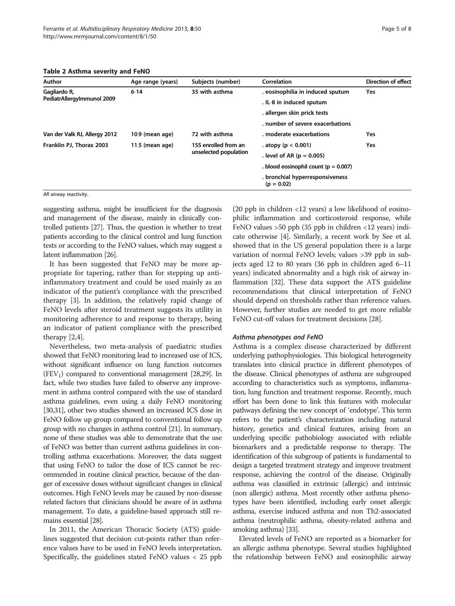<span id="page-4-0"></span>Table 2 Asthma severity and FeNO

| Author                                     | Age range (years) | Subjects (number)                             | Correlation                                     | <b>Direction of effect</b> |
|--------------------------------------------|-------------------|-----------------------------------------------|-------------------------------------------------|----------------------------|
| Gagliardo R,<br>PediatrAllergyImmunol 2009 | $6 - 14$          | 35 with asthma                                | . eosinophilia in induced sputum                | Yes                        |
|                                            |                   |                                               | . IL-8 in induced sputum                        |                            |
|                                            |                   |                                               | . allergen skin prick tests                     |                            |
|                                            |                   |                                               | . number of severe exacerbations                |                            |
| Van der Valk RJ, Allergy 2012              | 10.9 (mean age)   | 72 with asthma                                | moderate exacerbations                          | <b>Yes</b>                 |
| Franklin PJ, Thorax 2003                   | $11.5$ (mean age) | 155 enrolled from an<br>unselected population | . atopy ( $p < 0.001$ )                         | <b>Yes</b>                 |
|                                            |                   |                                               | . level of AR ( $p = 0.005$ )                   |                            |
|                                            |                   |                                               | . blood eosinophil count ( $p = 0.007$ )        |                            |
|                                            |                   |                                               | . bronchial hyperresponsiveness<br>$(p = 0.02)$ |                            |

#### AR airway reactivity.

suggesting asthma, might be insufficient for the diagnosis and management of the disease, mainly in clinically controlled patients [\[27\]](#page-6-0). Thus, the question is whether to treat patients according to the clinical control and lung function tests or according to the FeNO values, which may suggest a latent inflammation [\[26\]](#page-6-0).

It has been suggested that FeNO may be more appropriate for tapering, rather than for stepping up antiinflammatory treatment and could be used mainly as an indicator of the patient's compliance with the prescribed therapy [\[3](#page-6-0)]. In addition, the relatively rapid change of FeNO levels after steroid treatment suggests its utility in monitoring adherence to and response to therapy, being an indicator of patient compliance with the prescribed therapy [\[2,4](#page-6-0)].

Nevertheless, two meta-analysis of paediatric studies showed that FeNO monitoring lead to increased use of ICS, without significant influence on lung function outcomes  $(FEV<sub>1</sub>)$  compared to conventional management [[28,29](#page-6-0)]. In fact, while two studies have failed to observe any improvement in asthma control compared with the use of standard asthma guidelines, even using a daily FeNO monitoring [[30,31](#page-6-0)], other two studies showed an increased ICS dose in FeNO follow up group compared to conventional follow up group with no changes in asthma control [[21](#page-6-0)]. In summary, none of these studies was able to demonstrate that the use of FeNO was better than current asthma guidelines in controlling asthma exacerbations. Moreover, the data suggest that using FeNO to tailor the dose of ICS cannot be recommended in routine clinical practice, because of the danger of excessive doses without significant changes in clinical outcomes. High FeNO levels may be caused by non-disease related factors that clinicians should be aware of in asthma management. To date, a guideline-based approach still remains essential [\[28](#page-6-0)].

In 2011, the American Thoracic Society (ATS) guidelines suggested that decision cut-points rather than reference values have to be used in FeNO levels interpretation. Specifically, the guidelines stated FeNO values  $<$  25 ppb

(20 ppb in children <12 years) a low likelihood of eosinophilic inflammation and corticosteroid response, while FeNO values >50 ppb (35 ppb in children <12 years) indicate otherwise [\[4](#page-6-0)]. Similarly, a recent work by See et al. showed that in the US general population there is a large variation of normal FeNO levels; values >39 ppb in subjects aged 12 to 80 years (36 ppb in children aged 6–11 years) indicated abnormality and a high risk of airway inflammation [\[32\]](#page-6-0). These data support the ATS guideline recommendations that clinical interpretation of FeNO should depend on thresholds rather than reference values. However, further studies are needed to get more reliable FeNO cut-off values for treatment decisions [\[28\]](#page-6-0).

#### Asthma phenotypes and FeNO

Asthma is a complex disease characterized by different underlying pathophysiologies. This biological heterogeneity translates into clinical practice in different phenotypes of the disease. Clinical phenotypes of asthma are subgrouped according to characteristics such as symptoms, inflammation, lung function and treatment response. Recently, much effort has been done to link this features with molecular pathways defining the new concept of 'endotype'. This term refers to the patient's characterization including natural history, genetics and clinical features, arising from an underlying specific pathobiology associated with reliable biomarkers and a predictable response to therapy. The identification of this subgroup of patients is fundamental to design a targeted treatment strategy and improve treatment response, achieving the control of the disease. Originally asthma was classified in extrinsic (allergic) and intrinsic (non allergic) asthma. Most recently other asthma phenotypes have been identified, including early onset allergic asthma, exercise induced asthma and non Th2-associated asthma (neutrophilic asthma, obesity-related asthma and smoking asthma) [[33\]](#page-7-0).

Elevated levels of FeNO are reported as a biomarker for an allergic asthma phenotype. Several studies highlighted the relationship between FeNO and eosinophilic airway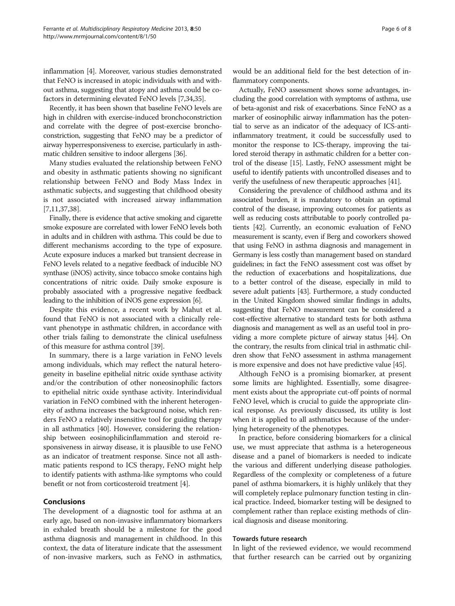inflammation [\[4](#page-6-0)]. Moreover, various studies demonstrated that FeNO is increased in atopic individuals with and without asthma, suggesting that atopy and asthma could be cofactors in determining elevated FeNO levels [\[7](#page-6-0)[,34,35](#page-7-0)].

Recently, it has been shown that baseline FeNO levels are high in children with exercise-induced bronchoconstriction and correlate with the degree of post-exercise bronchoconstriction, suggesting that FeNO may be a predictor of airway hyperresponsiveness to exercise, particularly in asthmatic children sensitive to indoor allergens [\[36\]](#page-7-0).

Many studies evaluated the relationship between FeNO and obesity in asthmatic patients showing no significant relationship between FeNO and Body Mass Index in asthmatic subjects, and suggesting that childhood obesity is not associated with increased airway inflammation [[7,11,](#page-6-0)[37,38\]](#page-7-0).

Finally, there is evidence that active smoking and cigarette smoke exposure are correlated with lower FeNO levels both in adults and in children with asthma. This could be due to different mechanisms according to the type of exposure. Acute exposure induces a marked but transient decrease in FeNO levels related to a negative feedback of inducible NO synthase (iNOS) activity, since tobacco smoke contains high concentrations of nitric oxide. Daily smoke exposure is probably associated with a progressive negative feedback leading to the inhibition of iNOS gene expression [\[6](#page-6-0)].

Despite this evidence, a recent work by Mahut et al. found that FeNO is not associated with a clinically relevant phenotype in asthmatic children, in accordance with other trials failing to demonstrate the clinical usefulness of this measure for asthma control [[39](#page-7-0)].

In summary, there is a large variation in FeNO levels among individuals, which may reflect the natural heterogeneity in baseline epithelial nitric oxide synthase activity and/or the contribution of other noneosinophilic factors to epithelial nitric oxide synthase activity. Interindividual variation in FeNO combined with the inherent heterogeneity of asthma increases the background noise, which renders FeNO a relatively insensitive tool for guiding therapy in all asthmatics [\[40](#page-7-0)]. However, considering the relationship between eosinophilicinflammation and steroid responsiveness in airway disease, it is plausible to use FeNO as an indicator of treatment response. Since not all asthmatic patients respond to ICS therapy, FeNO might help to identify patients with asthma-like symptoms who could benefit or not from corticosteroid treatment [[4\]](#page-6-0).

# **Conclusions**

The development of a diagnostic tool for asthma at an early age, based on non-invasive inflammatory biomarkers in exhaled breath should be a milestone for the good asthma diagnosis and management in childhood. In this context, the data of literature indicate that the assessment of non-invasive markers, such as FeNO in asthmatics,

would be an additional field for the best detection of inflammatory components.

Actually, FeNO assessment shows some advantages, including the good correlation with symptoms of asthma, use of beta-agonist and risk of exacerbations. Since FeNO as a marker of eosinophilic airway inflammation has the potential to serve as an indicator of the adequacy of ICS-antiinflammatory treatment, it could be successfully used to monitor the response to ICS-therapy, improving the tailored steroid therapy in asthmatic children for a better control of the disease [[15](#page-6-0)]. Lastly, FeNO assessment might be useful to identify patients with uncontrolled diseases and to verify the usefulness of new therapeutic approaches [\[41\]](#page-7-0).

Considering the prevalence of childhood asthma and its associated burden, it is mandatory to obtain an optimal control of the disease, improving outcomes for patients as well as reducing costs attributable to poorly controlled patients [\[42\]](#page-7-0). Currently, an economic evaluation of FeNO measurement is scanty, even if Berg and coworkers showed that using FeNO in asthma diagnosis and management in Germany is less costly than management based on standard guidelines; in fact the FeNO assessment cost was offset by the reduction of exacerbations and hospitalizations, due to a better control of the disease, especially in mild to severe adult patients [\[43\]](#page-7-0). Furthermore, a study conducted in the United Kingdom showed similar findings in adults, suggesting that FeNO measurement can be considered a cost-effective alternative to standard tests for both asthma diagnosis and management as well as an useful tool in providing a more complete picture of airway status [\[44\]](#page-7-0). On the contrary, the results from clinical trial in asthmatic children show that FeNO assessment in asthma management is more expensive and does not have predictive value [\[45\]](#page-7-0).

Although FeNO is a promising biomarker, at present some limits are highlighted. Essentially, some disagreement exists about the appropriate cut-off points of normal FeNO level, which is crucial to guide the appropriate clinical response. As previously discussed, its utility is lost when it is applied to all asthmatics because of the underlying heterogeneity of the phenotypes.

In practice, before considering biomarkers for a clinical use, we must appreciate that asthma is a heterogeneous disease and a panel of biomarkers is needed to indicate the various and different underlying disease pathologies. Regardless of the complexity or completeness of a future panel of asthma biomarkers, it is highly unlikely that they will completely replace pulmonary function testing in clinical practice. Indeed, biomarker testing will be designed to complement rather than replace existing methods of clinical diagnosis and disease monitoring.

#### Towards future research

In light of the reviewed evidence, we would recommend that further research can be carried out by organizing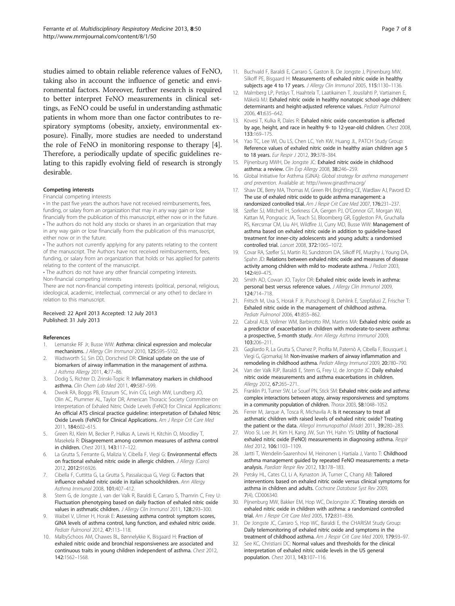<span id="page-6-0"></span>studies aimed to obtain reliable reference values of FeNO, taking also in account the influence of genetic and environmental factors. Moreover, further research is required to better interpret FeNO measurements in clinical settings, as FeNO could be useful in understanding asthmatic patients in whom more than one factor contributes to respiratory symptoms (obesity, anxiety, environmental exposure). Finally, more studies are needed to understand the role of FeNO in monitoring response to therapy [4]. Therefore, a periodically update of specific guidelines relating to this rapidly evolving field of research is strongly desirable.

#### Competing interests

Financial competing interests

• In the past five years the authors have not received reimbursements, fees, funding, or salary from an organization that may in any way gain or lose financially from the publication of this manuscript, either now or in the future. • The authors do not hold any stocks or shares in an organization that may in any way gain or lose financially from the publication of this manuscript, either now or in the future.

• The authors not currently applying for any patents relating to the content of the manuscript. The Authors have not received reimbursements, fees, funding, or salary from an organization that holds or has applied for patents relating to the content of the manuscript.

• The authors do not have any other financial competing interests. Non-financial competing interests

There are not non-financial competing interests (political, personal, religious, ideological, academic, intellectual, commercial or any other) to declare in relation to this manuscript.

#### Received: 22 April 2013 Accepted: 12 July 2013 Published: 31 July 2013

#### References

- 1. Lemanske RF Jr, Busse WW: Asthma: clinical expression and molecular mechanisms. J Allergy Clin Immunol 2010, 125:S95-S102.
- 2. Wadsworth SJ, Sin DD, Dorscheid DR: Clinical update on the use of biomarkers of airway inflammation in the management of asthma. J Asthma Allergy 2011, 4:77–86.
- 3. Dodig S, Richter D, Zrinski-Topic R: Inflammatory markers in childhood asthma. Clin Chem Lab Med 2011, 49:587–599.
- 4. Dweik RA, Boggs PB, Erzurum SC, Irvin CG, Leigh MW, Lundberg JO, Olin AC, Plummer AL, Taylor DR, American Thoracic Society Committee on Interpretation of Exhaled Nitric Oxide Levels (FeNO) for Clinical Applications: An official ATS clinical practice guideline: interpretation of Exhaled Nitric Oxide Levels (FeNO) for Clinical Applications. Am J Respir Crit Care Med 2011, 184:602–615.
- 5. Green RJ, Klein M, Becker P, Halkas A, Lewis H, Kitchin O, Moodley T, Masekela R: Disagreement among common measures of asthma control in children. Chest 2013, 143:117–122.
- 6. La Grutta S, Ferrante G, Malizia V, Cibella F, Viegi G: Environmental effects on fractional exhaled nitric oxide in allergic children. J Allergy (Cairo) 2012, 2012:916926.
- 7. Cibella F, Cuttitta G, La Grutta S, Passalacqua G, Viegi G: Factors that influence exhaled nitric oxide in italian schoolchildren. Ann Allergy Asthma Immunol 2008, 101:407–412.
- Stern G, de Jongste J, van der Valk R, Baraldi E, Carraro S, Thamrin C, Frey U: Fluctuation phenotyping based on daily fraction of exhaled nitric oxide values in asthmatic children. J Allergy Clin Immunol 2011, 128:293–300.
- Waibel V, Ulmer H, Horak E: Assessing asthma control: symptom scores, GINA levels of asthma control, lung function, and exhaled nitric oxide. Pediatr Pulmonol 2012, 47:113–118.
- 10. MalbySchoos AM, Chawes BL, Bønnelykke K, Bisgaard H: Fraction of exhaled nitric oxide and bronchial responsiveness are associated and continuous traits in young children independent of asthma. Chest 2012, 142:1562–1568.
- 11. Buchvald F, Baraldi E, Carraro S, Gaston B, De Jongste J, Pijnenburg MW, Silkoff PE, Bisgaard H: Measurements of exhaled nitric oxide in healthy subjects age 4 to 17 years. J Allergy Clin Immunol 2005, 115:1130-1136.
- 12. Malmberg LP, Petäys T, Haahtela T, Laatikainen T, Jousilahti P, Vartiainen E, Mäkelä MJ: Exhaled nitric oxide in healthy nonatopic school-age children: determinants and height-adjusted reference values. Pediatr Pulmonol 2006, 41:635–642.
- 13. Kovesi T, Kulka R, Dales R: Exhaled nitric oxide concentration is affected by age, height, and race in healthy 9- to 12-year-old children. Chest 2008, 133:169–175.
- 14. Yao TC, Lee WI, Ou LS, Chen LC, Yeh KW, Huang JL, PATCH Study Group: Reference values of exhaled nitric oxide in healthy asian children age 5 to 18 years. Eur Respir J 2012, 39:378-384.
- 15. Pijnenburg MWH, De Jongste JC: Exhaled nitric oxide in childhood asthma: a review. Clin Exp Allergy 2008, 38:246-259.
- 16. Global Initiative for Asthma (GINA): Global strategy for asthma management and prevention. Available at:<http://www.ginasthma.org/>
- 17. Shaw DE, Berry MA, Thomas M, Green RH, Brightling CE, Wardlaw AJ, Pavord ID: The use of exhaled nitric oxide to guide asthma management: a randomized controlled trial. Am J Respir Crit Care Med 2007, 176:231–237.
- 18. Szefler SJ, Mitchell H, Sorkness CA, Gergen PJ, O'Connor GT, Morgan WJ, Kattan M, Pongracic JA, Teach SJ, Bloomberg GR, Eggleston PA, Gruchalla RS, Kercsmar CM, Liu AH, Wildfire JJ, Curry MD, Busse WW: Management of asthma based on exhaled nitric oxide in addition to guideline-based treatment for inner-city adolescents and young adults: a randomised controlled trial. Lancet 2008, 372:1065–1072.
- 19. Covar RA, Szefler SJ, Martin RJ, Sundstrom DA, Silkoff PE, Murphy J, Young DA, Spahn JD: Relations between exhaled nitric oxide and measures of disease activity among children with mild to- moderate asthma. J Pediatr 2003, 142:469–475.
- 20. Smith AD, Cowan JO, Taylor DR: Exhaled nitric oxide levels in asthma: personal best versus reference values. J Allergy Clin Immunol 2009, 124:714–718.
- 21. Fritsch M, Uxa S, Horak F Jr, Putschoegl B, Dehlink E, Szepfalusi Z, Frischer T: Exhaled nitric oxide in the management of childhood asthma. Pediatr Pulmonol 2006, 41:855–862.
- 22. Cabral ALB, Vollmer WM, Barbirotto RM, Martins MA: Exhaled nitric oxide as a predictor of exacerbation in children with moderate-to-severe asthma: a prospective, 5-month study. Ann Allergy Asthma Immunol 2009, 103:206–211.
- 23. Gagliardo R, La Grutta S, Chanez P, Profita M, Paternò A, Cibella F, Bousquet J, Viegi G, Gjomarkaj M: Non-invasive markers of airway inflammation and remodeling in childhood asthma. Pediatr Allergy Immunol 2009, 20:780–790.
- 24. Van der Valk RJP, Baraldi E, Stern G, Frey U, de Jongste JC: Daily exhaled nitric oxide measurements and asthma exacerbations in children. Allergy 2012, 67:265–271.
- 25. Franklin PJ, Turner SW, Le Souef PN, Stick SM: Exhaled nitric oxide and asthma: complex interactions between atopy, airway responsiveness and symptoms in a community population of children. Thorax 2003, 58:1048–1052.
- 26. Ferrer M, Jarque A, Tosca R, Michavila A: Is it necessary to treat all asthmatic children with raised levels of exhaled nitric oxide? Treating the patient or the data. Allergol Immunopathol (Madr) 2011, 39:280-283.
- 27. Woo SI, Lee JH, Kim H, Kang JW, Sun YH, Hahn YS: Utility of fractional exhaled nitric oxide (FeNO) measurements in diagnosing asthma. Respir Med 2012, 106:1103–1109.
- 28. Jartti T, Wendelin-Saarenhovi M, Heinonen I, Hartiala J, Vanto T: Childhood asthma management guided by repeated FeNO measurements: a metaanalysis. Paediatr Respir Rev 2012, 13:178–183.
- 29. Petsky HL, Cates CJ, Li A, Kynaston JA, Turner C, Chang AB: Tailored interventions based on exhaled nitric oxide versus clinical symptoms for asthma in children and adults. Cochrane Database Syst Rev 2009, 7(4), CD006340.
- 30. Pijnenburg MW, Bakker EM, Hop WC, DeJongste JC: Titrating steroids on exhaled nitric oxide in children with asthma: a randomized controlled trial. Am J Respir Crit Care Med 2005, 172:831–836.
- 31. De Jongste JC, Carraro S, Hop WC, Baraldi E, the CHARISM Study Group: Daily telemonitoring of exhaled nitric oxide and symptoms in the treatment of childhood asthma. Am J Respir Crit Care Med 2009, 179:93-97.
- 32. See KC, Christiani DC: Normal values and thresholds for the clinical interpretation of exhaled nitric oxide levels in the US general population. Chest 2013, 143:107–116.